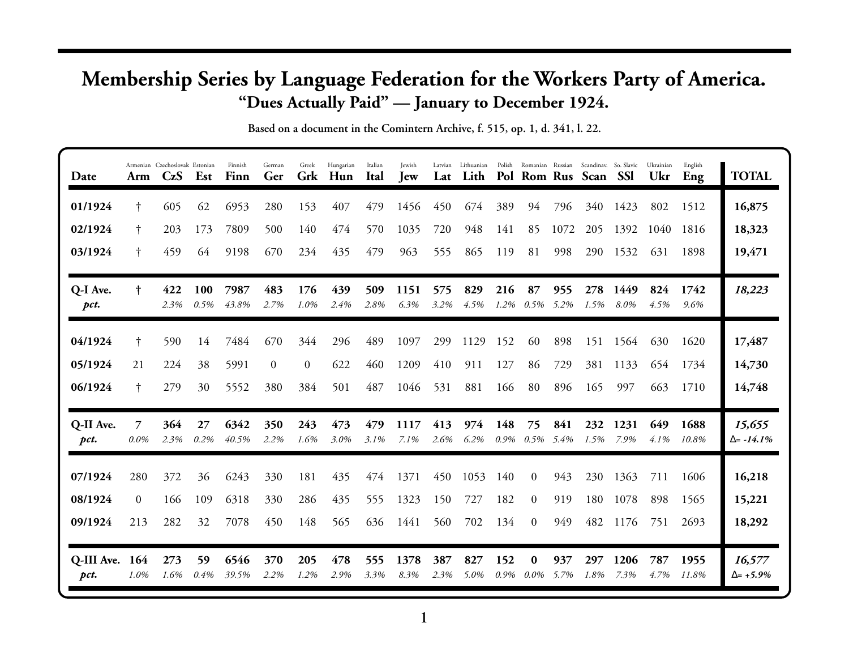## **Membership Series by Language Federation for the Workers Party of America. "Dues Actually Paid" — January to December 1924.**

**Based on a document in the Comintern Archive, f. 515, op. 1, d. 341, l. 22.**

| Date                   | Arm          | Armenian Czechoslovak Estonian<br>CzS | Est                | Finnish<br>Finn | German<br>Ger  | Greek<br>Grk | Hungarian<br>Hun | Italian<br>Ital | Jewish<br><b>Jew</b> | Latvian<br>Lat | Lithuanian<br>Lith |             |                            |             | Polish Romanian Russian Scandinav. So. Slavic<br>Pol Rom Rus Scan | <b>SSI</b>   | Ukrainian<br>Ukr | English<br>Eng | <b>TOTAL</b>                |
|------------------------|--------------|---------------------------------------|--------------------|-----------------|----------------|--------------|------------------|-----------------|----------------------|----------------|--------------------|-------------|----------------------------|-------------|-------------------------------------------------------------------|--------------|------------------|----------------|-----------------------------|
| 01/1924                | Ť            | 605                                   | 62                 | 6953            | 280            | 153          | 407              | 479             | 1456                 | 450            | 674                | 389         | 94                         | 796         | 340                                                               | 1423         | 802              | 1512           | 16,875                      |
| 02/1924                | t.           | 203                                   | 173                | 7809            | 500            | 140          | 474              | 570             | 1035                 | 720            | 948                | 141         | 85                         | 1072        | 205                                                               | 1392         | 1040             | 1816           | 18,323                      |
| 03/1924                | t.           | 459                                   | 64                 | 9198            | 670            | 234          | 435              | 479             | 963                  | 555            | 865                | 119         | 81                         | 998         | 290                                                               | 1532         | 631              | 1898           | 19,471                      |
| Q-I Ave.<br>pct.       | †.           | 422<br>2.3%                           | <b>100</b><br>0.5% | 7987<br>43.8%   | 483<br>2.7%    | 176<br>1.0%  | 439<br>2.4%      | 509<br>2.8%     | 1151<br>6.3%         | 575<br>3.2%    | 829<br>4.5%        | 216<br>1.2% | 87<br>$0.5\%$ 5.2%         | 955         | 278<br>1.5%                                                       | 1449<br>8.0% | 824<br>4.5%      | 1742<br>9.6%   | 18,223                      |
| 04/1924                | Ť            | 590                                   | 14                 | 7484            | 670            | 344          | 296              | 489             | 1097                 | 299            | 1129               | 152         | 60                         | 898         | 151                                                               | 1564         | 630              | 1620           | 17,487                      |
| 05/1924                | 21           | 224                                   | 38                 | 5991            | $\overline{0}$ | $\mathbf{0}$ | 622              | 460             | 1209                 | 410            | 911                | 127         | 86                         | 729         | 381                                                               | 1133         | 654              | 1734           | 14,730                      |
| 06/1924                | Ť            | 279                                   | 30                 | 5552            | 380            | 384          | 501              | 487             | 1046                 | 531            | 881                | 166         | 80                         | 896         | 165                                                               | 997          | 663              | 1710           | 14,748                      |
| Q-II Ave.<br>pct.      | 7<br>$0.0\%$ | 364<br>2.3%                           | 27<br>0.2%         | 6342<br>40.5%   | 350<br>2.2%    | 243<br>1.6%  | 473<br>3.0%      | 479<br>3.1%     | 1117<br>7.1%         | 413<br>2.6%    | 974<br>6.2%        | 148         | 75<br>$0.9\%$ $0.5\%$ 5.4% | 841         | 232<br>1.5%                                                       | 1231<br>7.9% | 649<br>$4.1\%$   | 1688<br>10.8%  | 15,655<br>$\Delta$ = -14.1% |
| 07/1924                | 280          | 372                                   | 36                 | 6243            | 330            | 181          | 435              | 474             | 1371                 | 450            | 1053               | 140         | $\overline{0}$             | 943         | 230                                                               | 1363         | 711              | 1606           | 16,218                      |
| 08/1924                | $\Omega$     | 166                                   | 109                | 6318            | 330            | 286          | 435              | 555             | 1323                 | 150            | 727                | 182         | 0                          | 919         | 180                                                               | 1078         | 898              | 1565           | 15,221                      |
| 09/1924                | 213          | 282                                   | 32                 | 7078            | 450            | 148          | 565              | 636             | 1441                 | 560            | 702                | 134         | $\Omega$                   | 949         | 482                                                               | 1176         | 751              | 2693           | 18,292                      |
| Q-III Ave. 164<br>pct. | 1.0%         | 273<br>1.6%                           | 59<br>0.4%         | 6546<br>39.5%   | 370<br>2.2%    | 205<br>1.2%  | 478<br>2.9%      | 555<br>3.3%     | 1378<br>8.3%         | 387<br>2.3%    | 827<br>5.0%        | 152<br>0.9% | $\bf{0}$<br>$0.0\%$        | 937<br>5.7% | 297<br>1.8%                                                       | 1206<br>7.3% | 787<br>4.7%      | 1955<br>11.8%  | 16,577<br>$\Delta = +5.9\%$ |